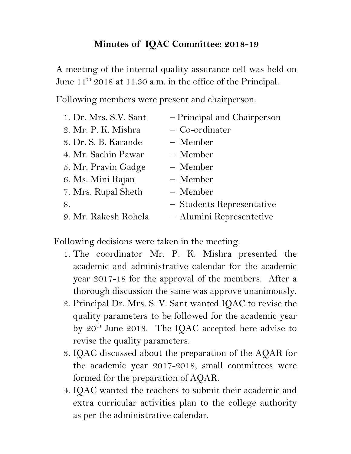## **Minutes of IQAC Committee: 2018-19**

A meeting of the internal quality assurance cell was held on June 11<sup>th</sup> 2018 at 11.30 a.m. in the office of the Principal.

Following members were present and chairperson.

| 1. Dr. Mrs. S.V. Sant | - Principal and Chairperson |
|-----------------------|-----------------------------|
| 2. Mr. P. K. Mishra   | - Co-ordinater              |
| 3. Dr. S. B. Karande  | - Member                    |
| 4. Mr. Sachin Pawar   | - Member                    |
| 5. Mr. Pravin Gadge   | - Member                    |
| 6. Ms. Mini Rajan     | - Member                    |
| 7. Mrs. Rupal Sheth   | - Member                    |
| 8.                    | - Students Representative   |
| 9. Mr. Rakesh Rohela  | - Alumini Representetive    |

Following decisions were taken in the meeting.

- 1. The coordinator Mr. P. K. Mishra presented the academic and administrative calendar for the academic year 2017-18 for the approval of the members. After a thorough discussion the same was approve unanimously.
- 2. Principal Dr. Mrs. S. V. Sant wanted IQAC to revise the quality parameters to be followed for the academic year by  $20^{th}$  June 2018. The IQAC accepted here advise to revise the quality parameters.
- 3. IQAC discussed about the preparation of the AQAR for the academic year 2017-2018, small committees were formed for the preparation of AQAR.
- 4. IQAC wanted the teachers to submit their academic and extra curricular activities plan to the college authority as per the administrative calendar.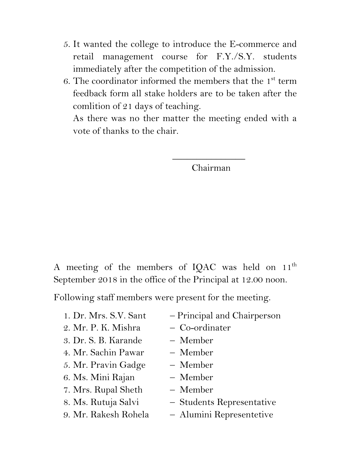- 5. It wanted the college to introduce the E-commerce and retail management course for F.Y./S.Y. students immediately after the competition of the admission.
- 6. The coordinator informed the members that the  $1<sup>st</sup>$  term feedback form all stake holders are to be taken after the comlition of 21 days of teaching.

As there was no ther matter the meeting ended with a vote of thanks to the chair.

 $\mathcal{L}_\text{max}$  and  $\mathcal{L}_\text{max}$  and  $\mathcal{L}_\text{max}$  and  $\mathcal{L}_\text{max}$ 

Chairman

A meeting of the members of IQAC was held on  $11<sup>th</sup>$ September 2018 in the office of the Principal at 12.00 noon.

Following staff members were present for the meeting.

- 1. Dr. Mrs. S.V. Sant Principal and Chairperson 2. Mr. P. K. Mishra – Co-ordinater 3. Dr. S. B. Karande – Member 4. Mr. Sachin Pawar – Member 5. Mr. Pravin Gadge – Member 6. Ms. Mini Rajan – Member
- 7. Mrs. Rupal Sheth Member
- 
- 
- -
- 8. Ms. Rutuja Salvi Students Representative
- 9. Mr. Rakesh Rohela Alumini Representetive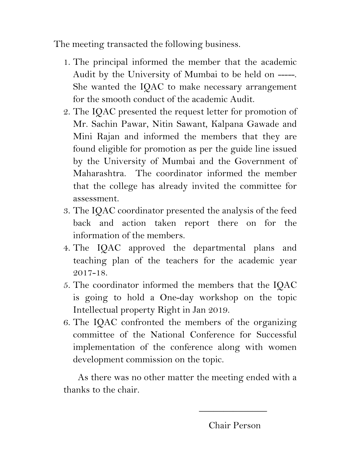The meeting transacted the following business.

- 1. The principal informed the member that the academic Audit by the University of Mumbai to be held on -----. She wanted the IQAC to make necessary arrangement for the smooth conduct of the academic Audit.
- 2. The IQAC presented the request letter for promotion of Mr. Sachin Pawar, Nitin Sawant, Kalpana Gawade and Mini Rajan and informed the members that they are found eligible for promotion as per the guide line issued by the University of Mumbai and the Government of Maharashtra. The coordinator informed the member that the college has already invited the committee for assessment.
- 3. The IQAC coordinator presented the analysis of the feed back and action taken report there on for the information of the members.
- 4. The IQAC approved the departmental plans and teaching plan of the teachers for the academic year 2017-18.
- 5. The coordinator informed the members that the IQAC is going to hold a One-day workshop on the topic Intellectual property Right in Jan 2019.
- 6. The IQAC confronted the members of the organizing committee of the National Conference for Successful implementation of the conference along with women development commission on the topic.

 As there was no other matter the meeting ended with a thanks to the chair.

 $\frac{1}{2}$  , and the set of the set of the set of the set of the set of the set of the set of the set of the set of the set of the set of the set of the set of the set of the set of the set of the set of the set of the set

Chair Person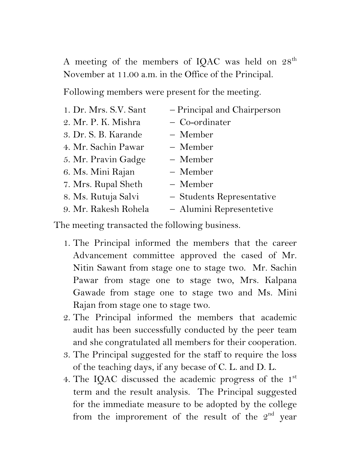A meeting of the members of IQAC was held on  $28<sup>th</sup>$ November at 11.00 a.m. in the Office of the Principal.

Following members were present for the meeting.

| 1. Dr. Mrs. S.V. Sant | - Principal and Chairperson |
|-----------------------|-----------------------------|
| 2. Mr. P. K. Mishra   | - Co-ordinater              |
| 3. Dr. S. B. Karande  | - Member                    |
| 4. Mr. Sachin Pawar   | - Member                    |
| 5. Mr. Pravin Gadge   | - Member                    |
| 6. Ms. Mini Rajan     | - Member                    |
| 7. Mrs. Rupal Sheth   | - Member                    |
| 8. Ms. Rutuja Salvi   | - Students Representative   |
| 9. Mr. Rakesh Rohela  | - Alumini Representetive    |

The meeting transacted the following business.

- 1. The Principal informed the members that the career Advancement committee approved the cased of Mr. Nitin Sawant from stage one to stage two. Mr. Sachin Pawar from stage one to stage two, Mrs. Kalpana Gawade from stage one to stage two and Ms. Mini Rajan from stage one to stage two.
- 2. The Principal informed the members that academic audit has been successfully conducted by the peer team and she congratulated all members for their cooperation.
- 3. The Principal suggested for the staff to require the loss of the teaching days, if any becase of C. L. and D. L.
- 4. The IQAC discussed the academic progress of the 1<sup>st</sup> term and the result analysis. The Principal suggested for the immediate measure to be adopted by the college from the improrement of the result of the  $2<sup>nd</sup>$  year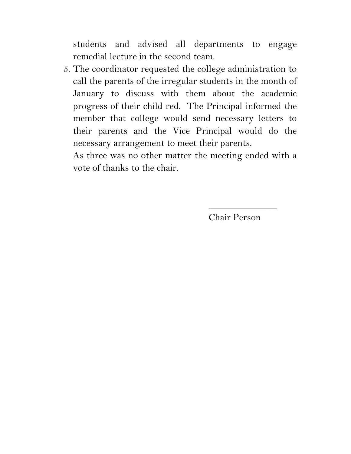students and advised all departments to engage remedial lecture in the second team.

5. The coordinator requested the college administration to call the parents of the irregular students in the month of January to discuss with them about the academic progress of their child red. The Principal informed the member that college would send necessary letters to their parents and the Vice Principal would do the necessary arrangement to meet their parents.

As three was no other matter the meeting ended with a vote of thanks to the chair.

Chair Person

 $\overline{\phantom{a}}$  , where  $\overline{\phantom{a}}$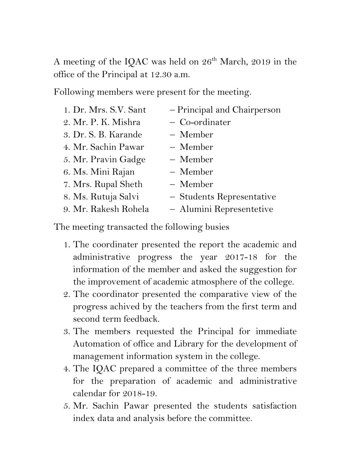A meeting of the IQAC was held on 26<sup>th</sup> March, 2019 in the office of the Principal at 12.30 a.m.

Following members were present for the meeting.

| 1. Dr. Mrs. S.V. Sant | - Principal and Chairperson |
|-----------------------|-----------------------------|
| 2. Mr. P. K. Mishra   | - Co-ordinater              |
| 3. Dr. S. B. Karande  | - Member                    |
| 4. Mr. Sachin Pawar   | - Member                    |
| 5. Mr. Pravin Gadge   | - Member                    |
| 6. Ms. Mini Rajan     | - Member                    |
| 7. Mrs. Rupal Sheth   | - Member                    |
| 8. Ms. Rutuja Salvi   | - Students Representative   |
| 9. Mr. Rakesh Rohela  | - Alumini Representetive    |

The meeting transacted the following busies

- 1. The coordinater presented the report the academic and administrative progress the year 2017-18 for the information of the member and asked the suggestion for the improvement of academic atmosphere of the college.
- 2. The coordinator presented the comparative view of the progress achived by the teachers from the first term and second term feedback.
- 3. The members requested the Principal for immediate Automation of office and Library for the development of management information system in the college.
- 4. The IQAC prepared a committee of the three members for the preparation of academic and administrative calendar for 2018-19.
- 5. Mr. Sachin Pawar presented the students satisfaction index data and analysis before the committee.